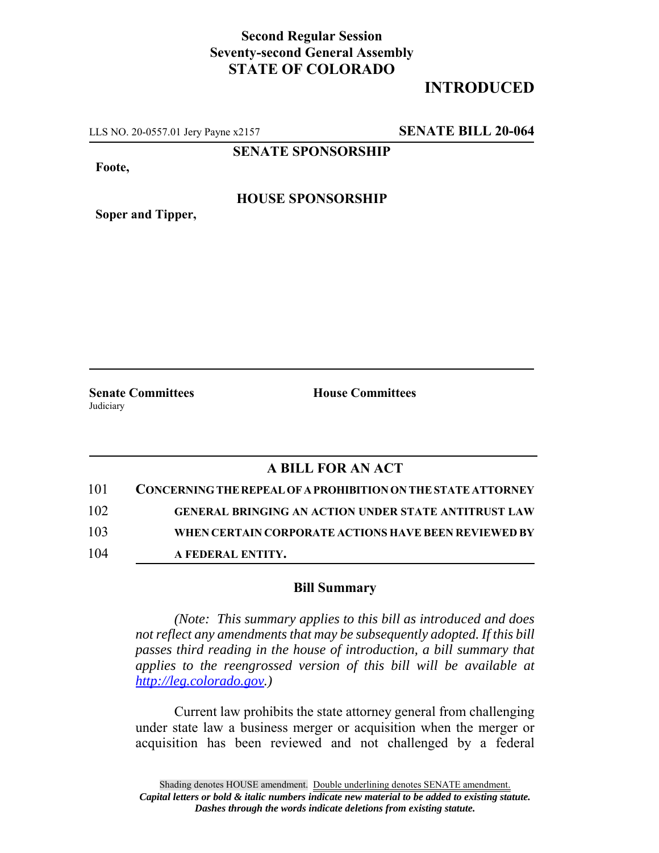## **Second Regular Session Seventy-second General Assembly STATE OF COLORADO**

# **INTRODUCED**

LLS NO. 20-0557.01 Jery Payne x2157 **SENATE BILL 20-064**

**SENATE SPONSORSHIP**

**Foote,**

#### **HOUSE SPONSORSHIP**

**Soper and Tipper,**

Judiciary

**Senate Committees House Committees** 

### **A BILL FOR AN ACT**

| 101 | <b>CONCERNING THE REPEAL OF A PROHIBITION ON THE STATE ATTORNEY</b> |
|-----|---------------------------------------------------------------------|
| 102 | <b>GENERAL BRINGING AN ACTION UNDER STATE ANTITRUST LAW</b>         |
| 103 | WHEN CERTAIN CORPORATE ACTIONS HAVE BEEN REVIEWED BY                |
| 104 | A FEDERAL ENTITY.                                                   |

#### **Bill Summary**

*(Note: This summary applies to this bill as introduced and does not reflect any amendments that may be subsequently adopted. If this bill passes third reading in the house of introduction, a bill summary that applies to the reengrossed version of this bill will be available at http://leg.colorado.gov.)*

Current law prohibits the state attorney general from challenging under state law a business merger or acquisition when the merger or acquisition has been reviewed and not challenged by a federal